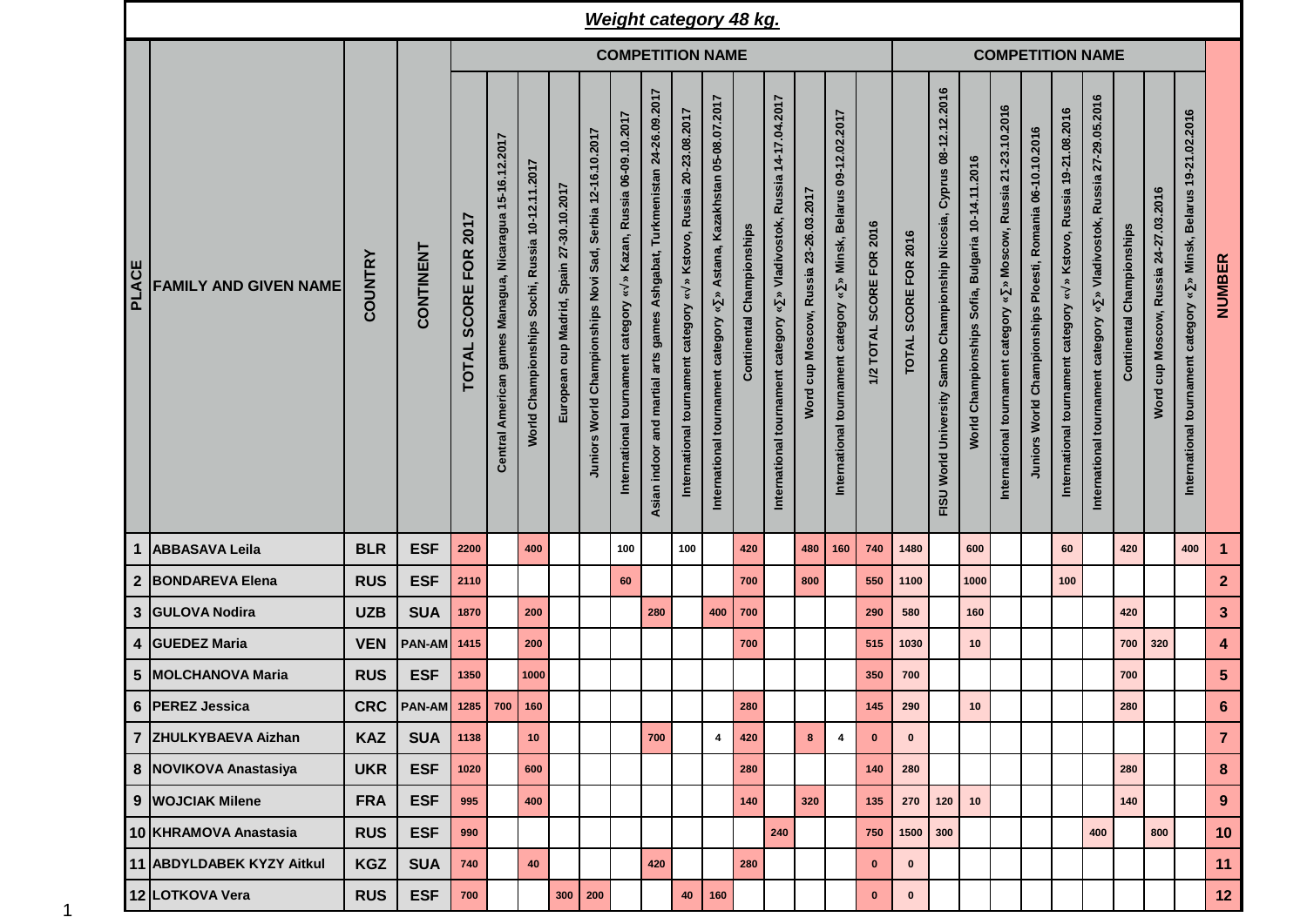|       |                              |                |                                 |                                             |                                                         |                                                 |                                          |                                                            | <b>Weight category 48 kg.</b>                                      |                                                                             |                                                                                                 |                                                                                                        |                           |                                                                                                          |                                          |                                                                                                                          |                          |                      |                                                                                              |                                                            |                                                                                                    |                                                            |                                                                          |                                                                            |                           |                                       |                                                                       |                  |
|-------|------------------------------|----------------|---------------------------------|---------------------------------------------|---------------------------------------------------------|-------------------------------------------------|------------------------------------------|------------------------------------------------------------|--------------------------------------------------------------------|-----------------------------------------------------------------------------|-------------------------------------------------------------------------------------------------|--------------------------------------------------------------------------------------------------------|---------------------------|----------------------------------------------------------------------------------------------------------|------------------------------------------|--------------------------------------------------------------------------------------------------------------------------|--------------------------|----------------------|----------------------------------------------------------------------------------------------|------------------------------------------------------------|----------------------------------------------------------------------------------------------------|------------------------------------------------------------|--------------------------------------------------------------------------|----------------------------------------------------------------------------|---------------------------|---------------------------------------|-----------------------------------------------------------------------|------------------|
|       |                              |                |                                 |                                             | <b>COMPETITION NAME</b>                                 |                                                 |                                          |                                                            |                                                                    |                                                                             |                                                                                                 |                                                                                                        |                           |                                                                                                          |                                          |                                                                                                                          | <b>COMPETITION NAME</b>  |                      |                                                                                              |                                                            |                                                                                                    |                                                            |                                                                          |                                                                            |                           |                                       |                                                                       |                  |
| PLACE | <b>FAMILY AND GIVEN NAME</b> | <b>COUNTRY</b> | CONTINENT                       | 2017<br><b>FOR</b><br>SCORE<br><b>TOTAL</b> | Central American games Managua, Nicaragua 15-16.12.2017 | World Championships Sochi, Russia 10-12.11.2017 | European cup Madrid, Spain 27-30.10.2017 | Juniors World Championships Novi Sad, Serbia 12-16.10.2017 | » Kazan, Russia 06-09.10.2017<br>International tournament category | games Ashgabat, Turkmenistan 24-26.09.2017<br>Asian indoor and martial arts | » Kstovo, Russia 20-23.08.2017<br>$\boldsymbol{\check{v}}$<br>International tournament category | Astana, Kazakhstan 05-08.07.2017<br>$\approx$<br>$\boldsymbol{v}$<br>International tournament category | Continental Championships | 14-17.04.2017<br><b>Russia</b><br>Vladivostok,<br>$\hat{z}$<br>₩<br>category<br>International tournament | cup Moscow, Russia 23-26.03.2017<br>Word | 09-12.02.2017<br><b>Belarus</b><br>Minsk,<br>$\hat{\mathbf{z}}$<br>$\boldsymbol{v}$<br>International tournament category | 1/2 TOTAL SCORE FOR 2016 | TOTAL SCORE FOR 2016 | 08-12.12.2016<br>Cyprus<br>Championship Nicosia,<br>Sambo<br><b>World University</b><br>FISU | Bulgaria 10-14.11.2016<br>Sofia,<br>Championships<br>World | 21-23.10.2016<br>» Moscow, Russia<br>$\breve{\phantom{a}}$<br>category<br>International tournament | Juniors World Championships Ploesti, Romania 06-10.10.2016 | » Kstovo, Russia 19-21.08.2016<br>¥<br>International tournament category | » Vladivostok, Russia 27-29.05.2016<br>International tournament category « | Continental Championships | Word cup Moscow, Russia 24-27.03.2016 | » Minsk, Belarus 19-21.02.2016<br>International tournament category « | <b>NUMBER</b>    |
|       | 1 ABBASAVA Leila             | <b>BLR</b>     | <b>ESF</b>                      | 2200                                        |                                                         | 400                                             |                                          |                                                            | 100                                                                |                                                                             | 100                                                                                             |                                                                                                        | 420                       |                                                                                                          | 480                                      | 160                                                                                                                      | 740                      | 1480                 |                                                                                              | 600                                                        |                                                                                                    |                                                            | 60                                                                       |                                                                            | 420                       |                                       | 400                                                                   | $\mathbf{1}$     |
|       | 2 BONDAREVA Elena            | <b>RUS</b>     | <b>ESF</b>                      | 2110                                        |                                                         |                                                 |                                          |                                                            | 60                                                                 |                                                                             |                                                                                                 |                                                                                                        | 700                       |                                                                                                          | 800                                      |                                                                                                                          | 550                      | 1100                 |                                                                                              | 1000                                                       |                                                                                                    |                                                            | 100                                                                      |                                                                            |                           |                                       |                                                                       | $\mathbf{2}$     |
|       | 3 GULOVA Nodira              | <b>UZB</b>     | <b>SUA</b>                      | 1870                                        |                                                         | 200                                             |                                          |                                                            |                                                                    | 280                                                                         |                                                                                                 | 400                                                                                                    | 700                       |                                                                                                          |                                          |                                                                                                                          | 290                      | 580                  |                                                                                              | 160                                                        |                                                                                                    |                                                            |                                                                          |                                                                            | 420                       |                                       |                                                                       | $\mathbf{3}$     |
|       | 4 GUEDEZ Maria               | <b>VEN</b>     | PAN-AM                          | 1415                                        |                                                         | 200                                             |                                          |                                                            |                                                                    |                                                                             |                                                                                                 |                                                                                                        | 700                       |                                                                                                          |                                          |                                                                                                                          | 515                      | 1030                 |                                                                                              | 10                                                         |                                                                                                    |                                                            |                                                                          |                                                                            | 700                       | 320                                   |                                                                       | $\boldsymbol{4}$ |
|       | 5 MOLCHANOVA Maria           | <b>RUS</b>     | <b>ESF</b>                      | 1350                                        |                                                         | 1000                                            |                                          |                                                            |                                                                    |                                                                             |                                                                                                 |                                                                                                        |                           |                                                                                                          |                                          |                                                                                                                          | 350                      | 700                  |                                                                                              |                                                            |                                                                                                    |                                                            |                                                                          |                                                                            | 700                       |                                       |                                                                       | $5\phantom{1}$   |
|       | 6   PEREZ Jessica            |                | CRC   PAN-AM   1285   700   160 |                                             |                                                         |                                                 |                                          |                                                            |                                                                    |                                                                             |                                                                                                 |                                                                                                        | <b>280</b>                |                                                                                                          |                                          |                                                                                                                          | 145                      | 290                  |                                                                                              | 10 <sup>°</sup>                                            |                                                                                                    |                                                            |                                                                          |                                                                            | 280                       |                                       |                                                                       | 6                |
|       | 7 ZHULKYBAEVA Aizhan         | <b>KAZ</b>     | <b>SUA</b>                      | 1138                                        |                                                         | 10 <sub>1</sub>                                 |                                          |                                                            |                                                                    | 700                                                                         |                                                                                                 | $\overline{\mathbf{4}}$                                                                                | 420                       |                                                                                                          | 8 <sup>1</sup>                           | $\overline{\mathbf{4}}$                                                                                                  | $\mathbf 0$              | $\mathbf 0$          |                                                                                              |                                                            |                                                                                                    |                                                            |                                                                          |                                                                            |                           |                                       |                                                                       | $\overline{7}$   |
|       | 8 NOVIKOVA Anastasiya        | <b>UKR</b>     | <b>ESF</b>                      | 1020                                        |                                                         | 600                                             |                                          |                                                            |                                                                    |                                                                             |                                                                                                 |                                                                                                        | 280                       |                                                                                                          |                                          |                                                                                                                          | 140                      | 280                  |                                                                                              |                                                            |                                                                                                    |                                                            |                                                                          |                                                                            | 280                       |                                       |                                                                       | 8                |
|       | 9 WOJCIAK Milene             | <b>FRA</b>     | <b>ESF</b>                      | 995                                         |                                                         | 400                                             |                                          |                                                            |                                                                    |                                                                             |                                                                                                 |                                                                                                        | 140                       |                                                                                                          | 320                                      |                                                                                                                          | 135                      | 270                  | 120                                                                                          | 10                                                         |                                                                                                    |                                                            |                                                                          |                                                                            | 140                       |                                       |                                                                       | 9                |
|       | 10 KHRAMOVA Anastasia        | <b>RUS</b>     | <b>ESF</b>                      | 990                                         |                                                         |                                                 |                                          |                                                            |                                                                    |                                                                             |                                                                                                 |                                                                                                        |                           | 240                                                                                                      |                                          |                                                                                                                          | 750                      | 1500 300             |                                                                                              |                                                            |                                                                                                    |                                                            |                                                                          | 400                                                                        |                           | 800                                   |                                                                       | 10               |
|       | 11 ABDYLDABEK KYZY Aitkul    | <b>KGZ</b>     | <b>SUA</b>                      | 740                                         |                                                         | 40                                              |                                          |                                                            |                                                                    | 420                                                                         |                                                                                                 |                                                                                                        | 280                       |                                                                                                          |                                          |                                                                                                                          | $\mathbf{0}$             | $\bf{0}$             |                                                                                              |                                                            |                                                                                                    |                                                            |                                                                          |                                                                            |                           |                                       |                                                                       | 11               |
|       | 12 LOTKOVA Vera              | <b>RUS</b>     | <b>ESF</b>                      | $\bf 700$                                   |                                                         |                                                 |                                          | $300$ 200                                                  |                                                                    |                                                                             | 40                                                                                              | 160                                                                                                    |                           |                                                                                                          |                                          |                                                                                                                          | $\mathbf{0}$             | $\pmb{0}$            |                                                                                              |                                                            |                                                                                                    |                                                            |                                                                          |                                                                            |                           |                                       |                                                                       | 12 <sub>2</sub>  |

1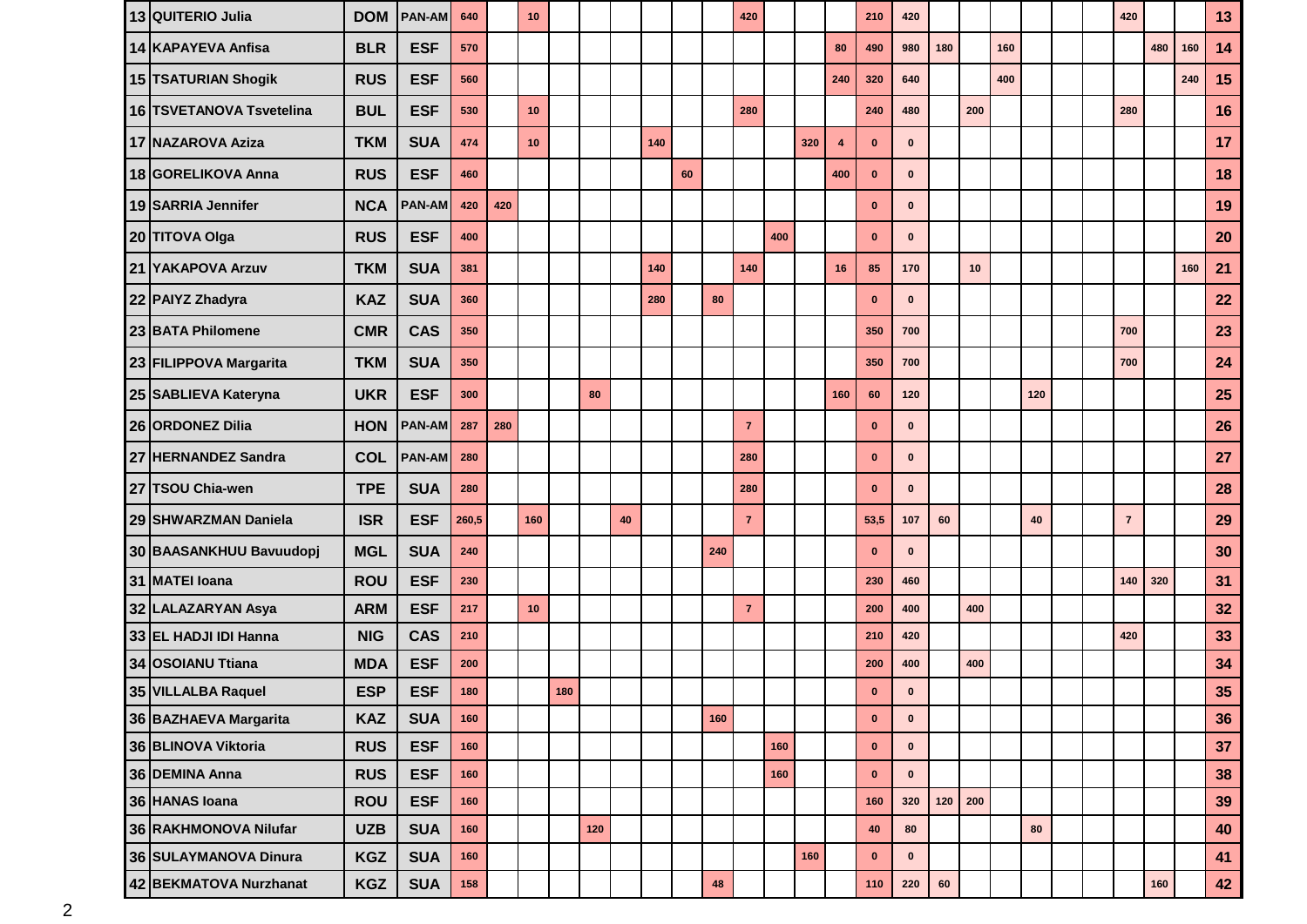| 13 QUITERIO Julia        | <b>DOM</b> | <b>PAN-AM</b> | 640   |     | 10  |     |     |    |     |    |     | 420            |     |     |                         | 210          | 420          |     |     |     |     |  | 420            |     |     | 13 |
|--------------------------|------------|---------------|-------|-----|-----|-----|-----|----|-----|----|-----|----------------|-----|-----|-------------------------|--------------|--------------|-----|-----|-----|-----|--|----------------|-----|-----|----|
| 14 KAPAYEVA Anfisa       | <b>BLR</b> | <b>ESF</b>    | 570   |     |     |     |     |    |     |    |     |                |     |     | 80                      | 490          | 980          | 180 |     | 160 |     |  |                | 480 | 160 | 14 |
| 15 TSATURIAN Shogik      | <b>RUS</b> | <b>ESF</b>    | 560   |     |     |     |     |    |     |    |     |                |     |     | 240                     | 320          | 640          |     |     | 400 |     |  |                |     | 240 | 15 |
| 16 TSVETANOVA Tsvetelina | <b>BUL</b> | <b>ESF</b>    | 530   |     | 10  |     |     |    |     |    |     | 280            |     |     |                         | 240          | 480          |     | 200 |     |     |  | 280            |     |     | 16 |
| 17 NAZAROVA Aziza        | <b>TKM</b> | <b>SUA</b>    | 474   |     | 10  |     |     |    | 140 |    |     |                |     | 320 | $\overline{\mathbf{4}}$ | $\mathbf{0}$ | $\mathbf{0}$ |     |     |     |     |  |                |     |     | 17 |
| 18 GORELIKOVA Anna       | <b>RUS</b> | <b>ESF</b>    | 460   |     |     |     |     |    |     | 60 |     |                |     |     | 400                     | $\mathbf{0}$ | $\mathbf{0}$ |     |     |     |     |  |                |     |     | 18 |
| 19 SARRIA Jennifer       | <b>NCA</b> | <b>PAN-AM</b> | 420   | 420 |     |     |     |    |     |    |     |                |     |     |                         | $\mathbf{0}$ | $\mathbf{0}$ |     |     |     |     |  |                |     |     | 19 |
| 20 TITOVA Olga           | <b>RUS</b> | <b>ESF</b>    | 400   |     |     |     |     |    |     |    |     |                | 400 |     |                         | $\mathbf{0}$ | $\mathbf{0}$ |     |     |     |     |  |                |     |     | 20 |
| 21 YAKAPOVA Arzuv        | <b>TKM</b> | <b>SUA</b>    | 381   |     |     |     |     |    | 140 |    |     | 140            |     |     | 16                      | 85           | 170          |     | 10  |     |     |  |                |     | 160 | 21 |
| 22 PAIYZ Zhadyra         | <b>KAZ</b> | <b>SUA</b>    | 360   |     |     |     |     |    | 280 |    | 80  |                |     |     |                         | $\mathbf{0}$ | $\mathbf{0}$ |     |     |     |     |  |                |     |     | 22 |
| 23 BATA Philomene        | <b>CMR</b> | <b>CAS</b>    | 350   |     |     |     |     |    |     |    |     |                |     |     |                         | 350          | 700          |     |     |     |     |  | 700            |     |     | 23 |
| 23 FILIPPOVA Margarita   | <b>TKM</b> | <b>SUA</b>    | 350   |     |     |     |     |    |     |    |     |                |     |     |                         | 350          | 700          |     |     |     |     |  | 700            |     |     | 24 |
| 25 SABLIEVA Kateryna     | <b>UKR</b> | <b>ESF</b>    | 300   |     |     |     | 80  |    |     |    |     |                |     |     | 160                     | 60           | 120          |     |     |     | 120 |  |                |     |     | 25 |
| 26 ORDONEZ Dilia         | <b>HON</b> | <b>PAN-AM</b> | 287   | 280 |     |     |     |    |     |    |     | $\overline{7}$ |     |     |                         | $\bf{0}$     | $\mathbf 0$  |     |     |     |     |  |                |     |     | 26 |
| 27 HERNANDEZ Sandra      | <b>COL</b> | <b>PAN-AM</b> | 280   |     |     |     |     |    |     |    |     | 280            |     |     |                         | $\bf{0}$     | $\mathbf{0}$ |     |     |     |     |  |                |     |     | 27 |
| 27 TSOU Chia-wen         | <b>TPE</b> | <b>SUA</b>    | 280   |     |     |     |     |    |     |    |     | 280            |     |     |                         | $\bf{0}$     | $\mathbf{0}$ |     |     |     |     |  |                |     |     | 28 |
| 29 SHWARZMAN Daniela     | <b>ISR</b> | <b>ESF</b>    | 260,5 |     | 160 |     |     | 40 |     |    |     | $\overline{7}$ |     |     |                         | 53,5         | 107          | 60  |     |     | 40  |  | $\overline{7}$ |     |     | 29 |
| 30 BAASANKHUU Bavuudopj  | <b>MGL</b> | <b>SUA</b>    | 240   |     |     |     |     |    |     |    | 240 |                |     |     |                         | $\mathbf{0}$ | $\mathbf{0}$ |     |     |     |     |  |                |     |     | 30 |
| 31 MATEI Ioana           | <b>ROU</b> | <b>ESF</b>    | 230   |     |     |     |     |    |     |    |     |                |     |     |                         | 230          | 460          |     |     |     |     |  | 140            | 320 |     | 31 |
| 32 LALAZARYAN Asya       | <b>ARM</b> | <b>ESF</b>    | 217   |     | 10  |     |     |    |     |    |     | $\overline{7}$ |     |     |                         | 200          | 400          |     | 400 |     |     |  |                |     |     | 32 |
| 33 EL HADJI IDI Hanna    | <b>NIG</b> | <b>CAS</b>    | 210   |     |     |     |     |    |     |    |     |                |     |     |                         | 210          | 420          |     |     |     |     |  | 420            |     |     | 33 |
| 34 OSOIANU Ttiana        | <b>MDA</b> | <b>ESF</b>    | 200   |     |     |     |     |    |     |    |     |                |     |     |                         | 200          | 400          |     | 400 |     |     |  |                |     |     | 34 |
| 35 VILLALBA Raquel       | <b>ESP</b> | <b>ESF</b>    | 180   |     |     | 180 |     |    |     |    |     |                |     |     |                         | $\bf{0}$     | $\mathbf{0}$ |     |     |     |     |  |                |     |     | 35 |
| 36 BAZHAEVA Margarita    | <b>KAZ</b> | <b>SUA</b>    | 160   |     |     |     |     |    |     |    | 160 |                |     |     |                         | $\mathbf{0}$ | $\bf{0}$     |     |     |     |     |  |                |     |     | 36 |
| 36 BLINOVA Viktoria      | <b>RUS</b> | <b>ESF</b>    | 160   |     |     |     |     |    |     |    |     |                | 160 |     |                         | $\mathbf 0$  | $\mathbf 0$  |     |     |     |     |  |                |     |     | 37 |
| 36 DEMINA Anna           | <b>RUS</b> | <b>ESF</b>    | 160   |     |     |     |     |    |     |    |     |                | 160 |     |                         | $\pmb{0}$    | $\mathbf 0$  |     |     |     |     |  |                |     |     | 38 |
| 36 HANAS Ioana           | <b>ROU</b> | <b>ESF</b>    | 160   |     |     |     |     |    |     |    |     |                |     |     |                         | 160          | 320          | 120 | 200 |     |     |  |                |     |     | 39 |
| 36 RAKHMONOVA Nilufar    | <b>UZB</b> | <b>SUA</b>    | 160   |     |     |     | 120 |    |     |    |     |                |     |     |                         | $40\,$       | ${\bf 80}$   |     |     |     | 80  |  |                |     |     | 40 |
| 36 SULAYMANOVA Dinura    | <b>KGZ</b> | <b>SUA</b>    | 160   |     |     |     |     |    |     |    |     |                |     | 160 |                         | $\mathbf 0$  | $\mathbf 0$  |     |     |     |     |  |                |     |     | 41 |
| 42 BEKMATOVA Nurzhanat   | KGZ        | <b>SUA</b>    | 158   |     |     |     |     |    |     |    | 48  |                |     |     |                         | $110$        | 220          | 60  |     |     |     |  |                | 160 |     | 42 |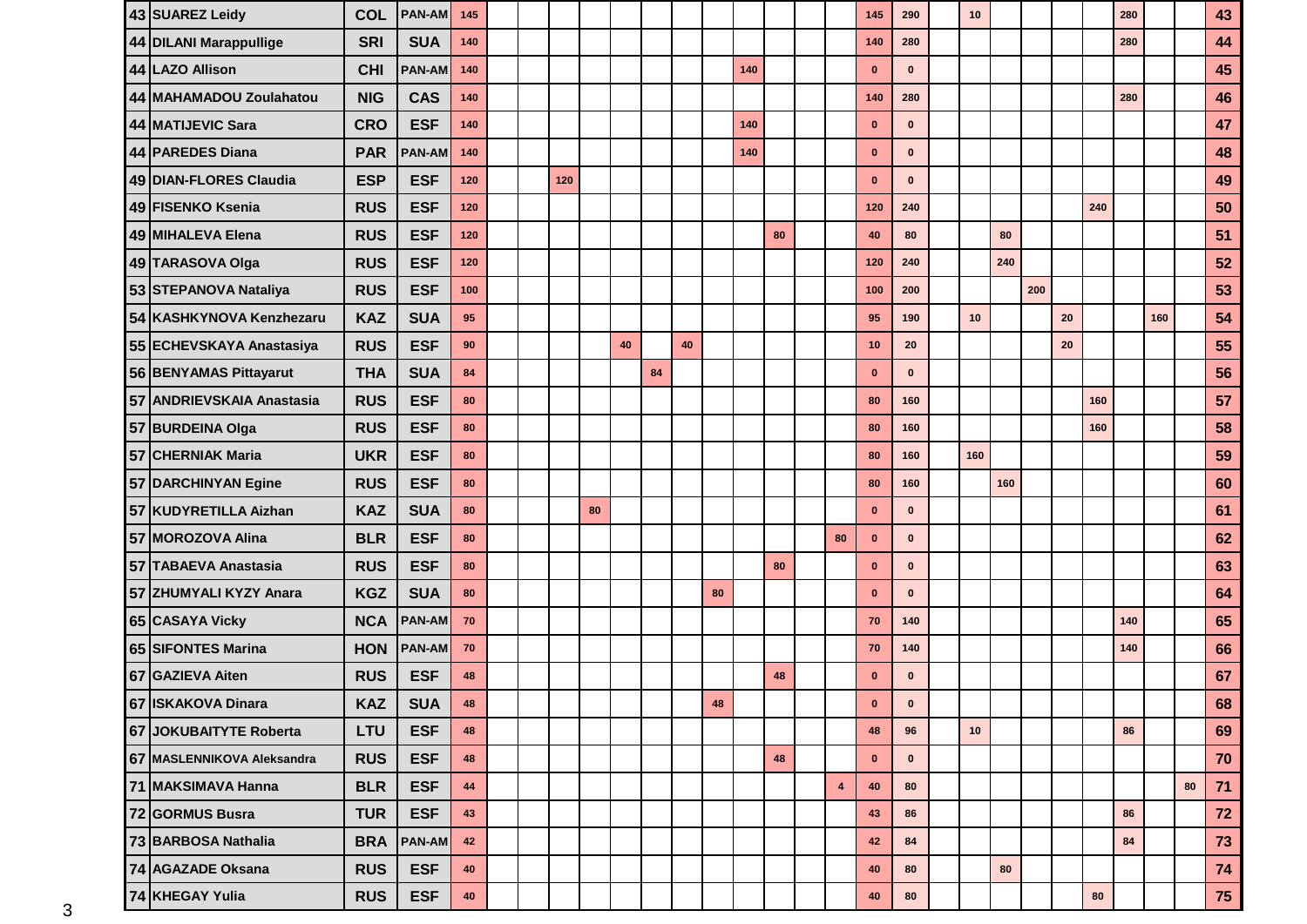| 43 SUAREZ Leidy            | <b>COL</b> | <b>PAN-AM</b> | 145        |  |     |    |    |    |    |    |     |    |                         | 145         | 290          | 10  |     |     |    |     | 280 |     |    | 43   |
|----------------------------|------------|---------------|------------|--|-----|----|----|----|----|----|-----|----|-------------------------|-------------|--------------|-----|-----|-----|----|-----|-----|-----|----|------|
| 44 DILANI Marappullige     | <b>SRI</b> | <b>SUA</b>    | 140        |  |     |    |    |    |    |    |     |    |                         | 140         | 280          |     |     |     |    |     | 280 |     |    | 44   |
| 44 LAZO Allison            | <b>CHI</b> | <b>PAN-AM</b> | 140        |  |     |    |    |    |    |    | 140 |    |                         | $\mathbf 0$ | $\bf{0}$     |     |     |     |    |     |     |     |    | 45   |
| 44 MAHAMADOU Zoulahatou    | <b>NIG</b> | <b>CAS</b>    | 140        |  |     |    |    |    |    |    |     |    |                         | 140         | 280          |     |     |     |    |     | 280 |     |    | 46   |
| 44 MATIJEVIC Sara          | <b>CRO</b> | <b>ESF</b>    | 140        |  |     |    |    |    |    |    | 140 |    |                         | $\mathbf 0$ | $\bf{0}$     |     |     |     |    |     |     |     |    | 47   |
| 44 PAREDES Diana           | <b>PAR</b> | <b>PAN-AM</b> | 140        |  |     |    |    |    |    |    | 140 |    |                         | $\mathbf 0$ | $\mathbf{0}$ |     |     |     |    |     |     |     |    | 48   |
| 49 DIAN-FLORES Claudia     | <b>ESP</b> | <b>ESF</b>    | 120        |  | 120 |    |    |    |    |    |     |    |                         | $\bf{0}$    | $\mathbf{0}$ |     |     |     |    |     |     |     |    | 49   |
| 49 FISENKO Ksenia          | <b>RUS</b> | <b>ESF</b>    | 120        |  |     |    |    |    |    |    |     |    |                         | 120         | 240          |     |     |     |    | 240 |     |     |    | 50   |
| 49 MIHALEVA Elena          | <b>RUS</b> | <b>ESF</b>    | 120        |  |     |    |    |    |    |    |     | 80 |                         | 40          | 80           |     | 80  |     |    |     |     |     |    | 51   |
| 49 TARASOVA Olga           | <b>RUS</b> | <b>ESF</b>    | 120        |  |     |    |    |    |    |    |     |    |                         | 120         | 240          |     | 240 |     |    |     |     |     |    | 52   |
| 53 STEPANOVA Nataliya      | <b>RUS</b> | <b>ESF</b>    | 100        |  |     |    |    |    |    |    |     |    |                         | 100         | 200          |     |     | 200 |    |     |     |     |    | 53   |
| 54 KASHKYNOVA Kenzhezaru   | <b>KAZ</b> | <b>SUA</b>    | 95         |  |     |    |    |    |    |    |     |    |                         | 95          | 190          | 10  |     |     | 20 |     |     | 160 |    | 54   |
| 55 ECHEVSKAYA Anastasiya   | <b>RUS</b> | <b>ESF</b>    | 90         |  |     |    | 40 |    | 40 |    |     |    |                         | 10          | 20           |     |     |     | 20 |     |     |     |    | 55   |
| 56 BENYAMAS Pittayarut     | <b>THA</b> | <b>SUA</b>    | 84         |  |     |    |    | 84 |    |    |     |    |                         | $\bf{0}$    | $\bf{0}$     |     |     |     |    |     |     |     |    | 56   |
| 57 ANDRIEVSKAIA Anastasia  | <b>RUS</b> | <b>ESF</b>    | 80         |  |     |    |    |    |    |    |     |    |                         | 80          | 160          |     |     |     |    | 160 |     |     |    | 57   |
| 57 BURDEINA Olga           | <b>RUS</b> | <b>ESF</b>    | 80         |  |     |    |    |    |    |    |     |    |                         | 80          | 160          |     |     |     |    | 160 |     |     |    | 58   |
| 57 CHERNIAK Maria          | <b>UKR</b> | <b>ESF</b>    | 80         |  |     |    |    |    |    |    |     |    |                         | 80          | 160          | 160 |     |     |    |     |     |     |    | 59   |
| 57 DARCHINYAN Egine        | <b>RUS</b> | <b>ESF</b>    | 80         |  |     |    |    |    |    |    |     |    |                         | 80          | 160          |     | 160 |     |    |     |     |     |    | 60   |
| 57 KUDYRETILLA Aizhan      | <b>KAZ</b> | <b>SUA</b>    | 80         |  |     | 80 |    |    |    |    |     |    |                         | $\bf{0}$    | $\mathbf{0}$ |     |     |     |    |     |     |     |    | 61   |
| 57 MOROZOVA Alina          | <b>BLR</b> | <b>ESF</b>    | 80         |  |     |    |    |    |    |    |     |    | 80                      | $\bf{0}$    | $\mathbf{0}$ |     |     |     |    |     |     |     |    | 62   |
| 57 TABAEVA Anastasia       | <b>RUS</b> | <b>ESF</b>    | 80         |  |     |    |    |    |    |    |     | 80 |                         | $\bf{0}$    | $\mathbf{0}$ |     |     |     |    |     |     |     |    | 63   |
| 57 ZHUMYALI KYZY Anara     | <b>KGZ</b> | <b>SUA</b>    | 80         |  |     |    |    |    |    | 80 |     |    |                         | $\bf{0}$    | $\mathbf{0}$ |     |     |     |    |     |     |     |    | 64   |
| 65 CASAYA Vicky            | <b>NCA</b> | <b>PAN-AM</b> | 70         |  |     |    |    |    |    |    |     |    |                         | 70          | 140          |     |     |     |    |     | 140 |     |    | 65   |
| 65 SIFONTES Marina         | <b>HON</b> | <b>PAN-AM</b> | 70         |  |     |    |    |    |    |    |     |    |                         | 70          | 140          |     |     |     |    |     | 140 |     |    | 66   |
| 67 GAZIEVA Aiten           | <b>RUS</b> | <b>ESF</b>    | 48         |  |     |    |    |    |    |    |     | 48 |                         | $\bf{0}$    | $\bf{0}$     |     |     |     |    |     |     |     |    | 67   |
| 67 ISKAKOVA Dinara         | <b>KAZ</b> | <b>SUA</b>    | 48         |  |     |    |    |    |    | 48 |     |    |                         | $\mathbf 0$ | 0            |     |     |     |    |     |     |     |    | 68   |
| 67 JOKUBAITYTE Roberta     | <b>LTU</b> | <b>ESF</b>    | 48         |  |     |    |    |    |    |    |     |    |                         | 48          | 96           | 10  |     |     |    |     | 86  |     |    | 69   |
| 67 MASLENNIKOVA Aleksandra | <b>RUS</b> | <b>ESF</b>    | 48         |  |     |    |    |    |    |    |     | 48 |                         | $\mathbf 0$ | $\mathbf 0$  |     |     |     |    |     |     |     |    | 70   |
| 71 MAKSIMAVA Hanna         | <b>BLR</b> | <b>ESF</b>    | 44         |  |     |    |    |    |    |    |     |    | $\overline{\mathbf{4}}$ | 40          | 80           |     |     |     |    |     |     |     | 80 | $71$ |
| 72 GORMUS Busra            | <b>TUR</b> | <b>ESF</b>    | 43         |  |     |    |    |    |    |    |     |    |                         | 43          | 86           |     |     |     |    |     | 86  |     |    | 72   |
| 73 BARBOSA Nathalia        | <b>BRA</b> | <b>PAN-AM</b> | 42         |  |     |    |    |    |    |    |     |    |                         | 42          | 84           |     |     |     |    |     | 84  |     |    | 73   |
| 74 AGAZADE Oksana          | <b>RUS</b> | <b>ESF</b>    | 40         |  |     |    |    |    |    |    |     |    |                         | 40          | 80           |     | 80  |     |    |     |     |     |    | 74   |
| 74 KHEGAY Yulia            | <b>RUS</b> | <b>ESF</b>    | ${\bf 40}$ |  |     |    |    |    |    |    |     |    |                         | ${\bf 40}$  | 80           |     |     |     |    | 80  |     |     |    | 75   |